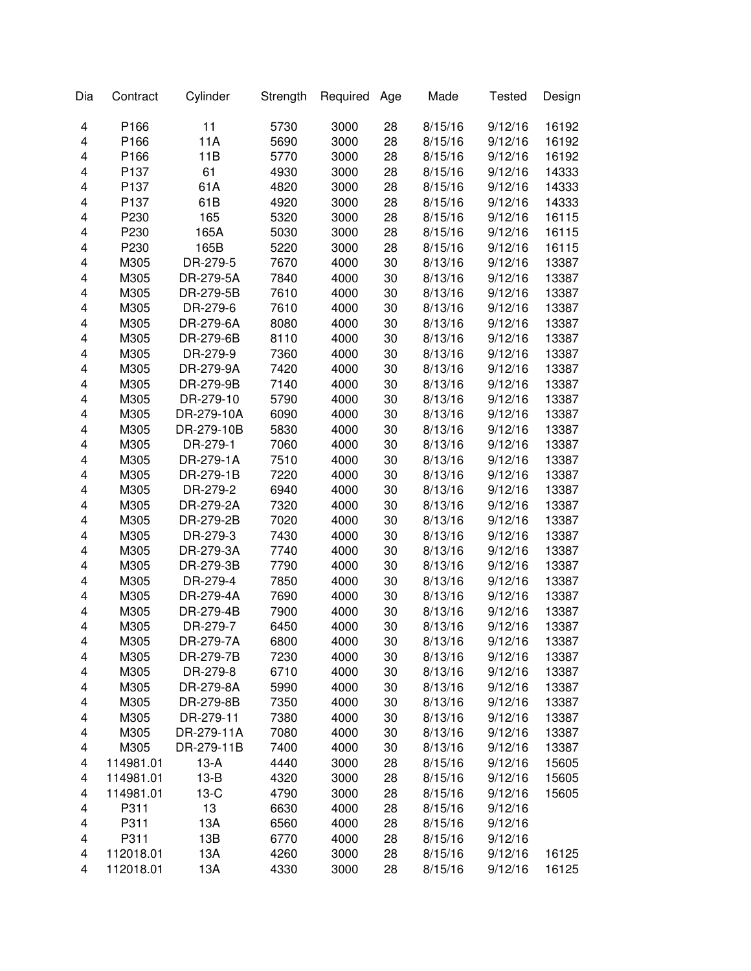| Dia                     | Contract  | Cylinder   | Strength | Required | Age      | Made               | <b>Tested</b>      | Design |
|-------------------------|-----------|------------|----------|----------|----------|--------------------|--------------------|--------|
| 4                       | P166      | 11         | 5730     | 3000     | 28       | 8/15/16            | 9/12/16            | 16192  |
| $\overline{\mathbf{4}}$ | P166      | 11A        | 5690     | 3000     | 28       | 8/15/16            | 9/12/16            | 16192  |
| 4                       | P166      | 11B        | 5770     | 3000     | 28       | 8/15/16            | 9/12/16            | 16192  |
| 4                       | P137      | 61         | 4930     | 3000     | 28       | 8/15/16            | 9/12/16            | 14333  |
| 4                       | P137      | 61A        | 4820     | 3000     | 28       | 8/15/16            | 9/12/16            | 14333  |
| 4                       | P137      | 61B        | 4920     | 3000     | 28       | 8/15/16            | 9/12/16            | 14333  |
| 4                       | P230      | 165        | 5320     | 3000     | 28       | 8/15/16            | 9/12/16            | 16115  |
| 4                       | P230      | 165A       | 5030     | 3000     | 28       | 8/15/16            | 9/12/16            | 16115  |
| 4                       | P230      | 165B       | 5220     | 3000     | 28       | 8/15/16            | 9/12/16            | 16115  |
| 4                       | M305      | DR-279-5   | 7670     | 4000     | 30       | 8/13/16            | 9/12/16            | 13387  |
| 4                       | M305      | DR-279-5A  | 7840     | 4000     | 30       | 8/13/16            | 9/12/16            | 13387  |
| 4                       | M305      | DR-279-5B  | 7610     | 4000     | 30       | 8/13/16            | 9/12/16            | 13387  |
| 4                       | M305      | DR-279-6   | 7610     | 4000     | 30       | 8/13/16            | 9/12/16            | 13387  |
| 4                       | M305      | DR-279-6A  | 8080     | 4000     | 30       | 8/13/16            | 9/12/16            | 13387  |
| 4                       | M305      | DR-279-6B  | 8110     | 4000     | 30       | 8/13/16            | 9/12/16            | 13387  |
| 4                       | M305      | DR-279-9   | 7360     | 4000     | 30       | 8/13/16            | 9/12/16            | 13387  |
| 4                       | M305      | DR-279-9A  | 7420     | 4000     | 30       | 8/13/16            | 9/12/16            | 13387  |
| 4                       | M305      | DR-279-9B  | 7140     | 4000     | 30       | 8/13/16            | 9/12/16            | 13387  |
| 4                       | M305      | DR-279-10  | 5790     | 4000     | 30       | 8/13/16            | 9/12/16            | 13387  |
| 4                       | M305      | DR-279-10A | 6090     | 4000     | 30       | 8/13/16            | 9/12/16            | 13387  |
| 4                       | M305      | DR-279-10B | 5830     | 4000     | 30       | 8/13/16            | 9/12/16            | 13387  |
| 4                       | M305      | DR-279-1   | 7060     | 4000     | 30       | 8/13/16            | 9/12/16            | 13387  |
| 4                       | M305      | DR-279-1A  | 7510     | 4000     | 30       | 8/13/16            | 9/12/16            | 13387  |
| 4                       | M305      | DR-279-1B  | 7220     | 4000     | 30       | 8/13/16            | 9/12/16            | 13387  |
| 4                       | M305      | DR-279-2   | 6940     | 4000     |          |                    |                    | 13387  |
| 4                       | M305      | DR-279-2A  | 7320     | 4000     | 30<br>30 | 8/13/16<br>8/13/16 | 9/12/16<br>9/12/16 |        |
|                         |           |            |          |          |          |                    |                    | 13387  |
| 4                       | M305      | DR-279-2B  | 7020     | 4000     | 30       | 8/13/16            | 9/12/16            | 13387  |
| 4                       | M305      | DR-279-3   | 7430     | 4000     | 30       | 8/13/16            | 9/12/16            | 13387  |
| 4                       | M305      | DR-279-3A  | 7740     | 4000     | 30       | 8/13/16            | 9/12/16            | 13387  |
| 4                       | M305      | DR-279-3B  | 7790     | 4000     | 30       | 8/13/16            | 9/12/16            | 13387  |
| $\overline{\mathbf{4}}$ | M305      | DR-279-4   | 7850     | 4000     | 30       | 8/13/16            | 9/12/16            | 13387  |
| 4                       | M305      | DR-279-4A  | 7690     | 4000     | 30       | 8/13/16            | 9/12/16            | 13387  |
| 4                       | M305      | DR-279-4B  | 7900     | 4000     | 30       | 8/13/16            | 9/12/16            | 13387  |
| 4                       | M305      | DR-279-7   | 6450     | 4000     | 30       | 8/13/16            | 9/12/16            | 13387  |
| 4                       | M305      | DR-279-7A  | 6800     | 4000     | 30       | 8/13/16            | 9/12/16            | 13387  |
| 4                       | M305      | DR-279-7B  | 7230     | 4000     | 30       | 8/13/16            | 9/12/16            | 13387  |
| 4                       | M305      | DR-279-8   | 6710     | 4000     | 30       | 8/13/16            | 9/12/16            | 13387  |
| 4                       | M305      | DR-279-8A  | 5990     | 4000     | 30       | 8/13/16            | 9/12/16            | 13387  |
| 4                       | M305      | DR-279-8B  | 7350     | 4000     | 30       | 8/13/16            | 9/12/16            | 13387  |
| 4                       | M305      | DR-279-11  | 7380     | 4000     | 30       | 8/13/16            | 9/12/16            | 13387  |
| 4                       | M305      | DR-279-11A | 7080     | 4000     | 30       | 8/13/16            | 9/12/16            | 13387  |
| 4                       | M305      | DR-279-11B | 7400     | 4000     | 30       | 8/13/16            | 9/12/16            | 13387  |
| 4                       | 114981.01 | $13-A$     | 4440     | 3000     | 28       | 8/15/16            | 9/12/16            | 15605  |
| 4                       | 114981.01 | $13-B$     | 4320     | 3000     | 28       | 8/15/16            | 9/12/16            | 15605  |
| 4                       | 114981.01 | $13-C$     | 4790     | 3000     | 28       | 8/15/16            | 9/12/16            | 15605  |
| 4                       | P311      | 13         | 6630     | 4000     | 28       | 8/15/16            | 9/12/16            |        |
| 4                       | P311      | 13A        | 6560     | 4000     | 28       | 8/15/16            | 9/12/16            |        |
| 4                       | P311      | 13B        | 6770     | 4000     | 28       | 8/15/16            | 9/12/16            |        |
| $\overline{\mathbf{4}}$ | 112018.01 | 13A        | 4260     | 3000     | 28       | 8/15/16            | 9/12/16            | 16125  |
| 4                       | 112018.01 | 13A        | 4330     | 3000     | 28       | 8/15/16            | 9/12/16            | 16125  |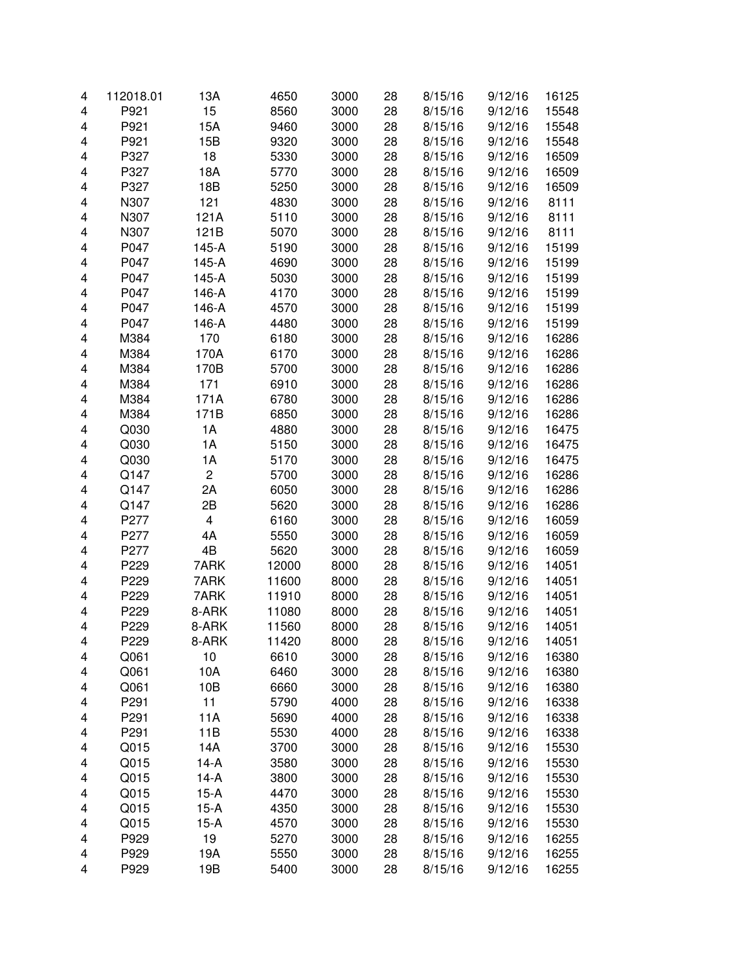| 4 | 112018.01        | 13A                     | 4650  | 3000 | 28 | 8/15/16 | 9/12/16 | 16125 |
|---|------------------|-------------------------|-------|------|----|---------|---------|-------|
| 4 | P921             | 15                      | 8560  | 3000 | 28 | 8/15/16 | 9/12/16 | 15548 |
| 4 | P921             | 15A                     | 9460  | 3000 | 28 | 8/15/16 | 9/12/16 | 15548 |
| 4 | P921             | 15B                     | 9320  | 3000 | 28 | 8/15/16 | 9/12/16 | 15548 |
| 4 | P327             | 18                      | 5330  | 3000 | 28 | 8/15/16 | 9/12/16 | 16509 |
| 4 | P327             | 18A                     | 5770  | 3000 | 28 | 8/15/16 | 9/12/16 | 16509 |
| 4 | P327             | 18B                     | 5250  | 3000 | 28 | 8/15/16 | 9/12/16 | 16509 |
| 4 | N307             | 121                     | 4830  | 3000 | 28 | 8/15/16 | 9/12/16 | 8111  |
| 4 | N307             | 121A                    | 5110  | 3000 | 28 | 8/15/16 | 9/12/16 | 8111  |
| 4 | N307             | 121B                    | 5070  | 3000 | 28 | 8/15/16 | 9/12/16 | 8111  |
| 4 | P047             | 145-A                   | 5190  | 3000 | 28 | 8/15/16 | 9/12/16 | 15199 |
| 4 | P047             | 145-A                   | 4690  | 3000 | 28 | 8/15/16 | 9/12/16 | 15199 |
| 4 | P047             | 145-A                   | 5030  | 3000 | 28 | 8/15/16 | 9/12/16 | 15199 |
| 4 | P047             | 146-A                   | 4170  | 3000 | 28 | 8/15/16 | 9/12/16 | 15199 |
| 4 | P047             | 146-A                   | 4570  | 3000 | 28 | 8/15/16 | 9/12/16 | 15199 |
| 4 | P047             | 146-A                   | 4480  | 3000 | 28 | 8/15/16 | 9/12/16 | 15199 |
| 4 | M384             | 170                     | 6180  | 3000 | 28 | 8/15/16 | 9/12/16 | 16286 |
| 4 | M384             | 170A                    | 6170  | 3000 | 28 | 8/15/16 | 9/12/16 | 16286 |
| 4 | M384             | 170B                    | 5700  | 3000 | 28 | 8/15/16 | 9/12/16 | 16286 |
| 4 | M384             | 171                     | 6910  | 3000 | 28 | 8/15/16 | 9/12/16 | 16286 |
| 4 | M384             | 171A                    | 6780  | 3000 | 28 | 8/15/16 | 9/12/16 | 16286 |
| 4 | M384             | 171B                    | 6850  | 3000 | 28 | 8/15/16 | 9/12/16 | 16286 |
| 4 | Q030             | 1A                      | 4880  | 3000 | 28 | 8/15/16 | 9/12/16 | 16475 |
| 4 | Q030             | 1A                      | 5150  | 3000 | 28 | 8/15/16 | 9/12/16 | 16475 |
| 4 | Q030             | 1A                      | 5170  | 3000 | 28 | 8/15/16 | 9/12/16 | 16475 |
| 4 | Q147             | $\overline{c}$          | 5700  | 3000 | 28 | 8/15/16 | 9/12/16 | 16286 |
| 4 | Q147             | 2A                      | 6050  | 3000 | 28 | 8/15/16 | 9/12/16 | 16286 |
| 4 | Q147             | 2B                      | 5620  | 3000 | 28 | 8/15/16 | 9/12/16 | 16286 |
| 4 | P277             | $\overline{\mathbf{4}}$ | 6160  | 3000 | 28 | 8/15/16 | 9/12/16 | 16059 |
| 4 | P277             | 4A                      | 5550  | 3000 | 28 | 8/15/16 | 9/12/16 | 16059 |
| 4 | P277             | 4B                      | 5620  | 3000 | 28 | 8/15/16 | 9/12/16 | 16059 |
| 4 | P229             | 7ARK                    | 12000 | 8000 | 28 | 8/15/16 | 9/12/16 | 14051 |
| 4 | P229             | 7ARK                    | 11600 | 8000 | 28 | 8/15/16 | 9/12/16 | 14051 |
| 4 | P229             | 7ARK                    | 11910 | 8000 | 28 | 8/15/16 | 9/12/16 | 14051 |
| 4 | P229             | 8-ARK                   | 11080 | 8000 | 28 | 8/15/16 | 9/12/16 | 14051 |
| 4 | P229             | 8-ARK                   | 11560 | 8000 | 28 | 8/15/16 | 9/12/16 | 14051 |
| 4 | P229             | 8-ARK                   | 11420 | 8000 | 28 | 8/15/16 | 9/12/16 | 14051 |
| 4 | Q061             | 10                      | 6610  | 3000 | 28 | 8/15/16 | 9/12/16 | 16380 |
| 4 | Q061             | 10A                     | 6460  | 3000 | 28 | 8/15/16 | 9/12/16 | 16380 |
| 4 | Q061             | 10B                     | 6660  | 3000 | 28 | 8/15/16 | 9/12/16 | 16380 |
| 4 | P291             | 11                      | 5790  | 4000 | 28 | 8/15/16 | 9/12/16 | 16338 |
| 4 | P <sub>291</sub> | 11A                     | 5690  | 4000 | 28 | 8/15/16 | 9/12/16 | 16338 |
| 4 | P291             | 11B                     | 5530  | 4000 | 28 | 8/15/16 | 9/12/16 | 16338 |
| 4 | Q015             | 14A                     | 3700  | 3000 | 28 | 8/15/16 | 9/12/16 | 15530 |
| 4 | Q015             | $14-A$                  | 3580  | 3000 | 28 | 8/15/16 | 9/12/16 | 15530 |
| 4 | Q015             | $14-A$                  | 3800  | 3000 | 28 | 8/15/16 | 9/12/16 | 15530 |
| 4 | Q015             | $15-A$                  | 4470  | 3000 | 28 | 8/15/16 | 9/12/16 | 15530 |
| 4 | Q015             | $15-A$                  | 4350  | 3000 | 28 | 8/15/16 | 9/12/16 | 15530 |
| 4 | Q015             | 15-A                    | 4570  | 3000 | 28 | 8/15/16 | 9/12/16 | 15530 |
| 4 | P929             | 19                      | 5270  | 3000 | 28 | 8/15/16 | 9/12/16 | 16255 |
| 4 | P929             | 19A                     | 5550  | 3000 | 28 | 8/15/16 | 9/12/16 | 16255 |
| 4 | P929             | 19B                     | 5400  | 3000 | 28 | 8/15/16 | 9/12/16 | 16255 |
|   |                  |                         |       |      |    |         |         |       |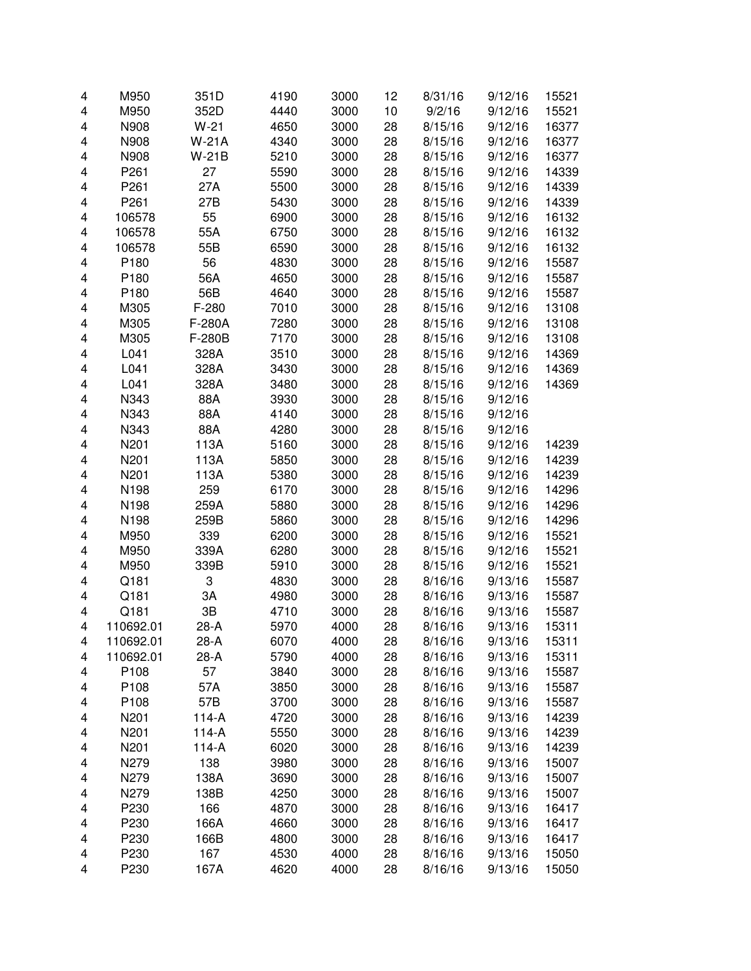| 4 | M950      | 351D         | 4190 | 3000 | 12 | 8/31/16 | 9/12/16 | 15521 |
|---|-----------|--------------|------|------|----|---------|---------|-------|
| 4 | M950      | 352D         | 4440 | 3000 | 10 | 9/2/16  | 9/12/16 | 15521 |
| 4 | N908      | $W-21$       | 4650 | 3000 | 28 | 8/15/16 | 9/12/16 | 16377 |
| 4 | N908      | <b>W-21A</b> | 4340 | 3000 | 28 | 8/15/16 | 9/12/16 | 16377 |
| 4 | N908      | W-21B        | 5210 | 3000 | 28 | 8/15/16 | 9/12/16 | 16377 |
| 4 | P261      | 27           | 5590 | 3000 | 28 | 8/15/16 | 9/12/16 | 14339 |
| 4 | P261      | 27A          | 5500 | 3000 | 28 | 8/15/16 | 9/12/16 | 14339 |
| 4 | P261      | 27B          | 5430 | 3000 | 28 | 8/15/16 | 9/12/16 | 14339 |
| 4 | 106578    | 55           | 6900 | 3000 | 28 | 8/15/16 | 9/12/16 | 16132 |
| 4 | 106578    | 55A          | 6750 | 3000 | 28 | 8/15/16 | 9/12/16 | 16132 |
| 4 | 106578    | 55B          | 6590 | 3000 | 28 | 8/15/16 | 9/12/16 | 16132 |
| 4 | P180      | 56           | 4830 | 3000 | 28 | 8/15/16 | 9/12/16 | 15587 |
| 4 | P180      | 56A          | 4650 | 3000 | 28 | 8/15/16 | 9/12/16 | 15587 |
| 4 | P180      | 56B          | 4640 | 3000 | 28 | 8/15/16 | 9/12/16 | 15587 |
| 4 | M305      | F-280        | 7010 | 3000 | 28 | 8/15/16 | 9/12/16 | 13108 |
| 4 | M305      | F-280A       | 7280 | 3000 | 28 | 8/15/16 | 9/12/16 | 13108 |
| 4 | M305      | F-280B       | 7170 | 3000 | 28 | 8/15/16 | 9/12/16 | 13108 |
| 4 | L041      | 328A         | 3510 | 3000 | 28 | 8/15/16 | 9/12/16 | 14369 |
| 4 | L041      | 328A         | 3430 | 3000 | 28 | 8/15/16 | 9/12/16 | 14369 |
| 4 | L041      | 328A         | 3480 | 3000 | 28 | 8/15/16 | 9/12/16 | 14369 |
| 4 | N343      | 88A          | 3930 | 3000 | 28 | 8/15/16 | 9/12/16 |       |
| 4 | N343      | 88A          | 4140 | 3000 | 28 | 8/15/16 | 9/12/16 |       |
| 4 | N343      | 88A          | 4280 | 3000 | 28 | 8/15/16 | 9/12/16 |       |
| 4 | N201      | 113A         | 5160 | 3000 | 28 | 8/15/16 | 9/12/16 | 14239 |
| 4 | N201      | 113A         | 5850 | 3000 | 28 | 8/15/16 | 9/12/16 | 14239 |
| 4 | N201      | 113A         | 5380 | 3000 | 28 | 8/15/16 | 9/12/16 | 14239 |
| 4 | N198      | 259          | 6170 | 3000 | 28 | 8/15/16 | 9/12/16 | 14296 |
| 4 | N198      | 259A         | 5880 | 3000 | 28 | 8/15/16 | 9/12/16 | 14296 |
| 4 | N198      | 259B         | 5860 | 3000 | 28 | 8/15/16 | 9/12/16 | 14296 |
| 4 | M950      | 339          | 6200 | 3000 | 28 | 8/15/16 | 9/12/16 | 15521 |
| 4 | M950      | 339A         | 6280 | 3000 | 28 | 8/15/16 | 9/12/16 | 15521 |
| 4 | M950      | 339B         | 5910 | 3000 | 28 | 8/15/16 | 9/12/16 | 15521 |
| 4 | Q181      | 3            | 4830 | 3000 | 28 | 8/16/16 | 9/13/16 | 15587 |
| 4 | Q181      | 3A           | 4980 | 3000 | 28 | 8/16/16 | 9/13/16 | 15587 |
| 4 | Q181      | 3B           | 4710 | 3000 | 28 | 8/16/16 | 9/13/16 | 15587 |
| 4 | 110692.01 | $28-A$       | 5970 | 4000 | 28 | 8/16/16 | 9/13/16 | 15311 |
| 4 | 110692.01 | 28-A         | 6070 | 4000 | 28 | 8/16/16 | 9/13/16 | 15311 |
| 4 | 110692.01 | 28-A         | 5790 | 4000 | 28 | 8/16/16 | 9/13/16 | 15311 |
| 4 | P108      | 57           | 3840 | 3000 | 28 | 8/16/16 | 9/13/16 | 15587 |
| 4 | P108      | 57A          | 3850 | 3000 | 28 | 8/16/16 | 9/13/16 | 15587 |
| 4 | P108      | 57B          | 3700 | 3000 | 28 | 8/16/16 | 9/13/16 | 15587 |
| 4 | N201      | $114-A$      | 4720 | 3000 | 28 | 8/16/16 | 9/13/16 | 14239 |
| 4 | N201      | $114-A$      | 5550 | 3000 | 28 | 8/16/16 | 9/13/16 | 14239 |
| 4 | N201      | $114-A$      | 6020 | 3000 | 28 | 8/16/16 | 9/13/16 | 14239 |
| 4 | N279      | 138          | 3980 | 3000 | 28 | 8/16/16 | 9/13/16 | 15007 |
| 4 | N279      | 138A         | 3690 | 3000 | 28 | 8/16/16 | 9/13/16 | 15007 |
| 4 | N279      | 138B         | 4250 | 3000 | 28 | 8/16/16 | 9/13/16 | 15007 |
| 4 | P230      | 166          | 4870 | 3000 | 28 | 8/16/16 | 9/13/16 | 16417 |
| 4 | P230      | 166A         | 4660 | 3000 | 28 | 8/16/16 | 9/13/16 | 16417 |
| 4 | P230      | 166B         | 4800 | 3000 | 28 | 8/16/16 | 9/13/16 | 16417 |
| 4 | P230      | 167          | 4530 | 4000 | 28 | 8/16/16 | 9/13/16 | 15050 |
| 4 | P230      | 167A         | 4620 | 4000 | 28 | 8/16/16 | 9/13/16 | 15050 |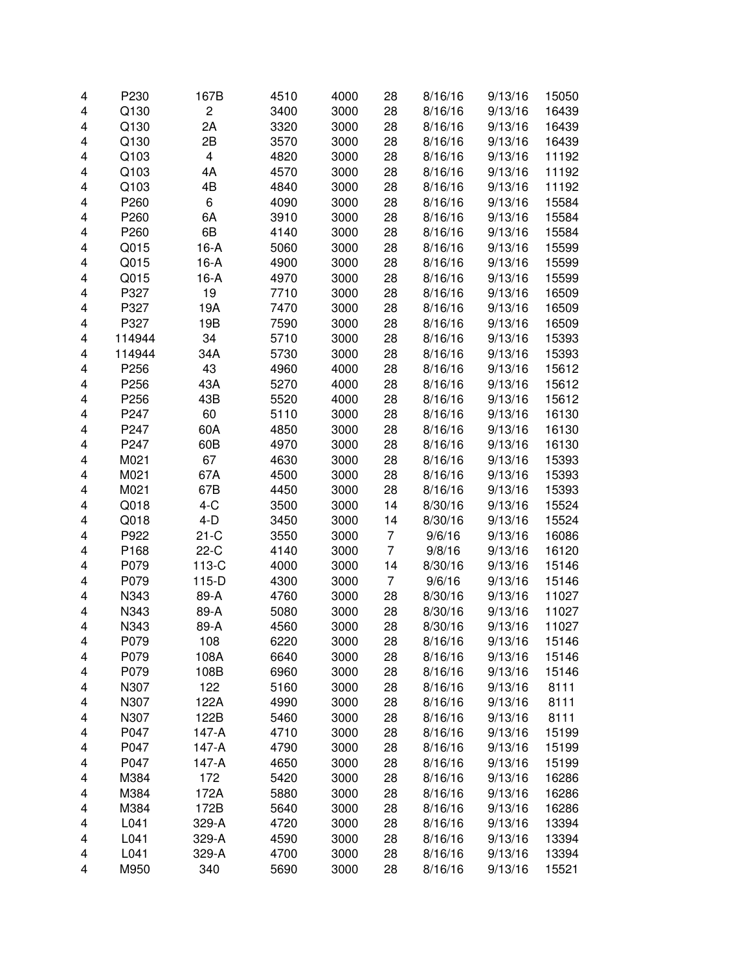| 4      | P230         | 167B           | 4510         | 4000         | 28             | 8/16/16            | 9/13/16            | 15050          |
|--------|--------------|----------------|--------------|--------------|----------------|--------------------|--------------------|----------------|
| 4      | Q130         | $\overline{c}$ | 3400         | 3000         | 28             | 8/16/16            | 9/13/16            | 16439          |
| 4      | Q130         | 2A             | 3320         | 3000         | 28             | 8/16/16            | 9/13/16            | 16439          |
| 4      | Q130         | 2B             | 3570         | 3000         | 28             | 8/16/16            | 9/13/16            | 16439          |
| 4      | Q103         | 4              | 4820         | 3000         | 28             | 8/16/16            | 9/13/16            | 11192          |
| 4      | Q103         | 4A             | 4570         | 3000         | 28             | 8/16/16            | 9/13/16            | 11192          |
| 4      | Q103         | 4B             | 4840         | 3000         | 28             | 8/16/16            | 9/13/16            | 11192          |
| 4      | P260         | 6              | 4090         | 3000         | 28             | 8/16/16            | 9/13/16            | 15584          |
| 4      | P260         | 6A             | 3910         | 3000         | 28             | 8/16/16            | 9/13/16            | 15584          |
| 4      | P260         | 6B             | 4140         | 3000         | 28             | 8/16/16            | 9/13/16            | 15584          |
| 4      | Q015         | $16-A$         | 5060         | 3000         | 28             | 8/16/16            | 9/13/16            | 15599          |
| 4      | Q015         | $16-A$         | 4900         | 3000         | 28             | 8/16/16            | 9/13/16            | 15599          |
| 4      | Q015         | $16-A$         | 4970         | 3000         | 28             | 8/16/16            | 9/13/16            | 15599          |
| 4      | P327         | 19             | 7710         | 3000         | 28             | 8/16/16            | 9/13/16            | 16509          |
| 4      | P327         | 19A            | 7470         | 3000         | 28             | 8/16/16            | 9/13/16            | 16509          |
| 4      | P327         | 19B            | 7590         | 3000         | 28             | 8/16/16            | 9/13/16            | 16509          |
| 4      | 114944       | 34             | 5710         | 3000         | 28             | 8/16/16            | 9/13/16            | 15393          |
| 4      | 114944       | 34A            | 5730         | 3000         | 28             | 8/16/16            | 9/13/16            | 15393          |
| 4      | P256         | 43             | 4960         | 4000         | 28             | 8/16/16            | 9/13/16            | 15612          |
| 4      | P256         | 43A            | 5270         | 4000         | 28             | 8/16/16            | 9/13/16            | 15612          |
| 4      | P256         | 43B            | 5520         | 4000         | 28             | 8/16/16            | 9/13/16            | 15612          |
| 4      | P247         | 60             | 5110         | 3000         | 28             | 8/16/16            | 9/13/16            | 16130          |
| 4      | P247         | 60A            | 4850         | 3000         | 28             | 8/16/16            | 9/13/16            | 16130          |
| 4      | P247         | 60B            | 4970         | 3000         | 28             | 8/16/16            | 9/13/16            | 16130          |
| 4      | M021         | 67             | 4630         | 3000         | 28             | 8/16/16            | 9/13/16            | 15393          |
| 4      | M021         | 67A            | 4500         | 3000         | 28             | 8/16/16            | 9/13/16            | 15393          |
| 4      | M021         | 67B            | 4450         | 3000         | 28             | 8/16/16            | 9/13/16            | 15393          |
| 4      | Q018         | $4-C$          | 3500         | 3000         | 14             | 8/30/16            | 9/13/16            | 15524          |
| 4      | Q018         | $4-D$          | 3450         | 3000         | 14             | 8/30/16            | 9/13/16            | 15524          |
| 4      | P922         | $21-C$         | 3550         | 3000         | 7              | 9/6/16             | 9/13/16            | 16086          |
| 4      | P168         | $22-C$         | 4140         | 3000         | $\overline{7}$ | 9/8/16             | 9/13/16            | 16120          |
| 4      | P079         | 113-C          | 4000         | 3000         | 14             | 8/30/16            | 9/13/16            | 15146          |
| 4      | P079         | $115-D$        | 4300         | 3000         | 7              | 9/6/16             | 9/13/16            | 15146          |
| 4      | N343         | 89-A           | 4760         | 3000         |                | 8/30/16            | 9/13/16            |                |
| 4      | N343         | 89-A           | 5080         | 3000         | 28<br>28       | 8/30/16            | 9/13/16            | 11027<br>11027 |
| 4      | N343         | 89-A           | 4560         | 3000         | 28             | 8/30/16            | 9/13/16            | 11027          |
|        |              |                |              |              |                |                    |                    |                |
| 4<br>4 | P079<br>P079 | 108<br>108A    | 6220<br>6640 | 3000<br>3000 | 28<br>28       | 8/16/16<br>8/16/16 | 9/13/16<br>9/13/16 | 15146<br>15146 |
|        | P079         | 108B           | 6960         | 3000         | 28             |                    | 9/13/16            | 15146          |
| 4      |              | 122            |              |              |                | 8/16/16            |                    |                |
| 4      | N307         |                | 5160         | 3000         | 28             | 8/16/16            | 9/13/16            | 8111<br>8111   |
| 4      | N307         | 122A           | 4990         | 3000         | 28             | 8/16/16            | 9/13/16            |                |
| 4      | N307         | 122B           | 5460         | 3000         | 28             | 8/16/16            | 9/13/16            | 8111           |
| 4      | P047         | 147-A          | 4710         | 3000         | 28             | 8/16/16            | 9/13/16            | 15199          |
| 4      | P047         | $147-A$        | 4790         | 3000         | 28             | 8/16/16            | 9/13/16            | 15199          |
| 4      | P047         | 147-A          | 4650         | 3000         | 28             | 8/16/16            | 9/13/16            | 15199          |
| 4      | M384         | 172            | 5420         | 3000         | 28             | 8/16/16            | 9/13/16            | 16286          |
| 4      | M384         | 172A           | 5880         | 3000         | 28             | 8/16/16            | 9/13/16            | 16286          |
| 4      | M384         | 172B           | 5640         | 3000         | 28             | 8/16/16            | 9/13/16            | 16286          |
| 4      | L041         | 329-A          | 4720         | 3000         | 28             | 8/16/16            | 9/13/16            | 13394          |
| 4      | L041         | 329-A          | 4590         | 3000         | 28             | 8/16/16            | 9/13/16            | 13394          |
| 4      | L041         | 329-A          | 4700         | 3000         | 28             | 8/16/16            | 9/13/16            | 13394          |
| 4      | M950         | 340            | 5690         | 3000         | 28             | 8/16/16            | 9/13/16            | 15521          |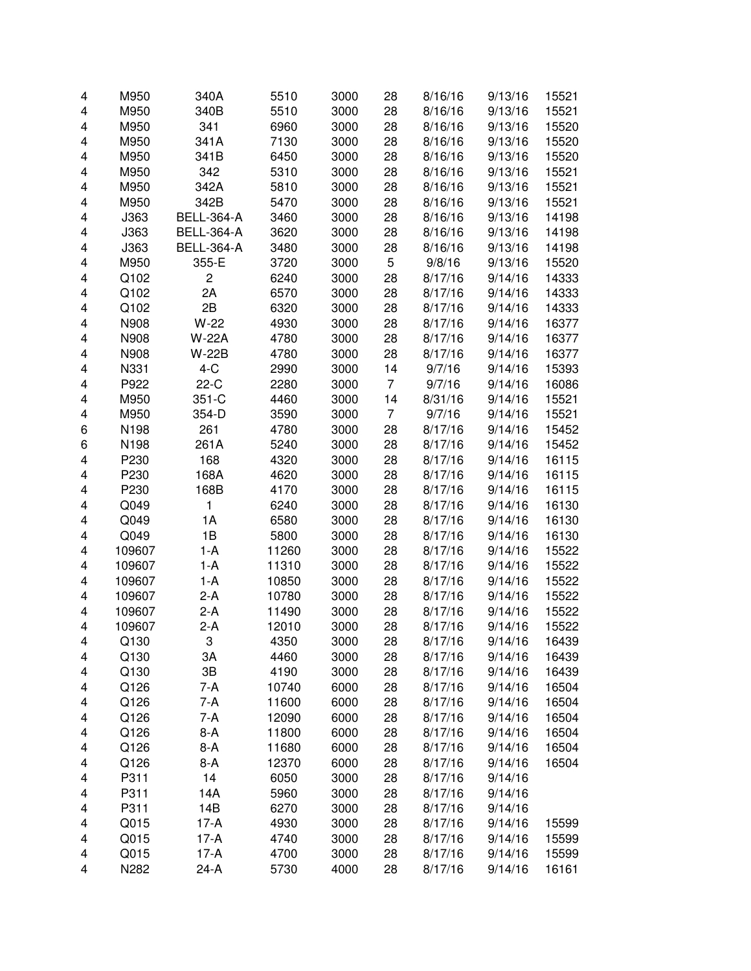| 4 | M950   | 340A              | 5510  | 3000 | 28 | 8/16/16 | 9/13/16 | 15521 |
|---|--------|-------------------|-------|------|----|---------|---------|-------|
| 4 | M950   | 340B              | 5510  | 3000 | 28 | 8/16/16 | 9/13/16 | 15521 |
| 4 | M950   | 341               | 6960  | 3000 | 28 | 8/16/16 | 9/13/16 | 15520 |
| 4 | M950   | 341A              | 7130  | 3000 | 28 | 8/16/16 | 9/13/16 | 15520 |
| 4 | M950   | 341B              | 6450  | 3000 | 28 | 8/16/16 | 9/13/16 | 15520 |
| 4 | M950   | 342               | 5310  | 3000 | 28 | 8/16/16 | 9/13/16 | 15521 |
| 4 | M950   | 342A              | 5810  | 3000 | 28 | 8/16/16 | 9/13/16 | 15521 |
| 4 | M950   | 342B              | 5470  | 3000 | 28 | 8/16/16 | 9/13/16 | 15521 |
| 4 | J363   | <b>BELL-364-A</b> | 3460  | 3000 | 28 | 8/16/16 | 9/13/16 | 14198 |
| 4 | J363   | <b>BELL-364-A</b> | 3620  | 3000 | 28 | 8/16/16 | 9/13/16 | 14198 |
| 4 | J363   | <b>BELL-364-A</b> | 3480  | 3000 | 28 | 8/16/16 | 9/13/16 | 14198 |
| 4 | M950   | 355-E             | 3720  | 3000 | 5  | 9/8/16  | 9/13/16 | 15520 |
| 4 | Q102   | $\overline{c}$    | 6240  | 3000 | 28 | 8/17/16 | 9/14/16 | 14333 |
| 4 | Q102   | 2A                | 6570  | 3000 | 28 | 8/17/16 | 9/14/16 | 14333 |
| 4 | Q102   | 2B                | 6320  | 3000 | 28 | 8/17/16 | 9/14/16 | 14333 |
| 4 | N908   | $W-22$            | 4930  | 3000 | 28 | 8/17/16 | 9/14/16 | 16377 |
| 4 | N908   | W-22A             | 4780  | 3000 | 28 | 8/17/16 | 9/14/16 | 16377 |
| 4 | N908   | <b>W-22B</b>      | 4780  | 3000 | 28 | 8/17/16 | 9/14/16 | 16377 |
| 4 | N331   | $4-C$             | 2990  | 3000 | 14 | 9/7/16  | 9/14/16 | 15393 |
| 4 | P922   | $22-C$            | 2280  | 3000 | 7  | 9/7/16  | 9/14/16 | 16086 |
| 4 | M950   | 351-C             | 4460  | 3000 | 14 | 8/31/16 | 9/14/16 | 15521 |
| 4 | M950   | 354-D             | 3590  | 3000 | 7  | 9/7/16  | 9/14/16 | 15521 |
| 6 | N198   | 261               | 4780  | 3000 | 28 | 8/17/16 | 9/14/16 | 15452 |
| 6 | N198   | 261A              | 5240  | 3000 | 28 | 8/17/16 | 9/14/16 | 15452 |
| 4 | P230   | 168               | 4320  | 3000 | 28 | 8/17/16 | 9/14/16 | 16115 |
| 4 | P230   | 168A              | 4620  | 3000 | 28 | 8/17/16 | 9/14/16 | 16115 |
| 4 | P230   | 168B              | 4170  | 3000 | 28 | 8/17/16 | 9/14/16 | 16115 |
| 4 | Q049   | 1                 | 6240  | 3000 | 28 | 8/17/16 | 9/14/16 | 16130 |
| 4 | Q049   | 1A                | 6580  | 3000 | 28 | 8/17/16 | 9/14/16 | 16130 |
| 4 | Q049   | 1B                | 5800  | 3000 | 28 | 8/17/16 | 9/14/16 | 16130 |
| 4 | 109607 | $1-A$             | 11260 | 3000 | 28 | 8/17/16 | 9/14/16 | 15522 |
| 4 | 109607 | $1-A$             | 11310 | 3000 | 28 | 8/17/16 | 9/14/16 | 15522 |
| 4 | 109607 | $1-A$             | 10850 | 3000 | 28 | 8/17/16 | 9/14/16 | 15522 |
| 4 | 109607 | $2-A$             | 10780 | 3000 | 28 | 8/17/16 | 9/14/16 | 15522 |
| 4 | 109607 | $2-A$             | 11490 | 3000 | 28 | 8/17/16 | 9/14/16 | 15522 |
| 4 | 109607 | $2-A$             | 12010 | 3000 | 28 | 8/17/16 | 9/14/16 | 15522 |
| 4 | Q130   | 3                 | 4350  | 3000 | 28 | 8/17/16 | 9/14/16 | 16439 |
| 4 | Q130   | 3A                | 4460  | 3000 | 28 | 8/17/16 | 9/14/16 | 16439 |
| 4 | Q130   | 3B                | 4190  | 3000 | 28 | 8/17/16 | 9/14/16 | 16439 |
| 4 | Q126   | 7-A               | 10740 | 6000 | 28 | 8/17/16 | 9/14/16 | 16504 |
| 4 | Q126   | 7-A               | 11600 | 6000 | 28 | 8/17/16 | 9/14/16 | 16504 |
| 4 | Q126   | $7-A$             | 12090 | 6000 | 28 | 8/17/16 | 9/14/16 | 16504 |
| 4 | Q126   | $8-A$             | 11800 | 6000 | 28 | 8/17/16 | 9/14/16 | 16504 |
| 4 | Q126   | $8-A$             | 11680 | 6000 | 28 | 8/17/16 | 9/14/16 | 16504 |
| 4 | Q126   | $8-A$             | 12370 | 6000 | 28 | 8/17/16 | 9/14/16 | 16504 |
| 4 | P311   | 14                | 6050  | 3000 | 28 | 8/17/16 | 9/14/16 |       |
| 4 | P311   | 14A               | 5960  | 3000 | 28 | 8/17/16 | 9/14/16 |       |
| 4 | P311   | 14B               | 6270  | 3000 | 28 | 8/17/16 | 9/14/16 |       |
| 4 | Q015   | $17-A$            | 4930  | 3000 | 28 | 8/17/16 | 9/14/16 | 15599 |
| 4 | Q015   | $17-A$            | 4740  | 3000 | 28 | 8/17/16 | 9/14/16 | 15599 |
| 4 | Q015   | $17-A$            | 4700  | 3000 | 28 | 8/17/16 | 9/14/16 | 15599 |
| 4 | N282   | $24-A$            | 5730  | 4000 | 28 | 8/17/16 | 9/14/16 | 16161 |
|   |        |                   |       |      |    |         |         |       |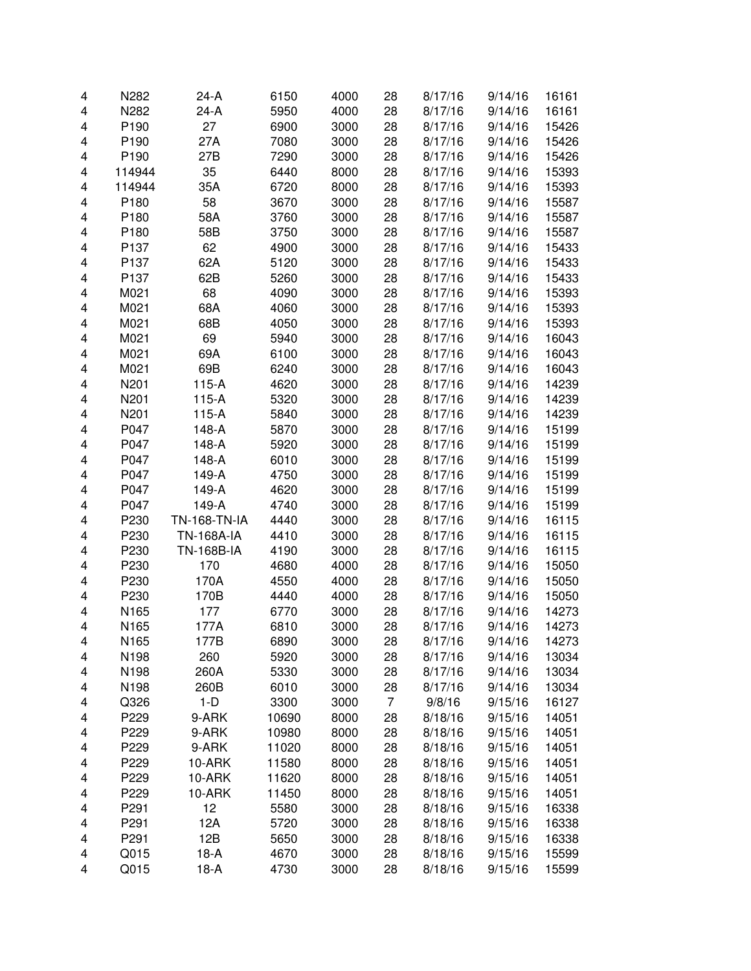| N282<br>24-A<br>5950<br>4000<br>28<br>8/17/16<br>16161<br>4<br>9/14/16<br>P190<br>27<br>6900<br>3000<br>15426<br>4<br>28<br>8/17/16<br>9/14/16<br>P190<br>27A<br>7080<br>3000<br>28<br>15426<br>4<br>8/17/16<br>9/14/16<br>P190<br>27B<br>3000<br>28<br>15426<br>4<br>7290<br>8/17/16<br>9/14/16<br>35<br>4<br>114944<br>6440<br>8000<br>28<br>8/17/16<br>9/14/16<br>15393<br>35A<br>8000<br>28<br>15393<br>4<br>114944<br>6720<br>8/17/16<br>9/14/16<br>58<br>4<br>P180<br>3670<br>3000<br>28<br>15587<br>8/17/16<br>9/14/16<br>4<br>P180<br>58A<br>3000<br>28<br>15587<br>3760<br>8/17/16<br>9/14/16<br>4<br>58B<br>3000<br>28<br>P180<br>3750<br>8/17/16<br>9/14/16<br>15587<br>4<br>62<br>4900<br>3000<br>28<br>P137<br>8/17/16<br>9/14/16<br>15433<br>4<br>62A<br>3000<br>28<br>P137<br>5120<br>8/17/16<br>9/14/16<br>15433<br>4<br>P137<br>62B<br>3000<br>28<br>15433<br>5260<br>8/17/16<br>9/14/16<br>68<br>4090<br>15393<br>4<br>M021<br>3000<br>28<br>8/17/16<br>9/14/16<br>M021<br>68A<br>4060<br>15393<br>4<br>3000<br>28<br>8/17/16<br>9/14/16<br>4<br>M021<br>68B<br>4050<br>28<br>15393<br>3000<br>8/17/16<br>9/14/16<br>4<br>M021<br>69<br>5940<br>28<br>8/17/16<br>16043<br>3000<br>9/14/16<br>4<br>M021<br>69A<br>6100<br>16043<br>3000<br>28<br>8/17/16<br>9/14/16<br>4<br>M021<br>69B<br>6240<br>16043<br>3000<br>28<br>8/17/16<br>9/14/16<br>N201<br>4620<br>28<br>14239<br>4<br>$115-A$<br>3000<br>8/17/16<br>9/14/16<br>5320<br>28<br>4<br>N201<br>$115-A$<br>3000<br>8/17/16<br>9/14/16<br>14239<br>N201<br>4<br>$115-A$<br>5840<br>3000<br>28<br>8/17/16<br>9/14/16<br>14239<br>P047<br>5870<br>3000<br>28<br>4<br>148-A<br>8/17/16<br>9/14/16<br>15199<br>4<br>P047<br>5920<br>3000<br>28<br>15199<br>148-A<br>8/17/16<br>9/14/16<br>4<br>P047<br>148-A<br>6010<br>3000<br>28<br>15199<br>8/17/16<br>9/14/16<br>4<br>P047<br>149-A<br>3000<br>28<br>15199<br>4750<br>8/17/16<br>9/14/16<br>4<br>P047<br>149-A<br>4620<br>3000<br>28<br>9/14/16<br>15199<br>8/17/16<br>4<br>P047<br>149-A<br>3000<br>28<br>15199<br>4740<br>8/17/16<br>9/14/16<br>4<br>P230<br><b>TN-168-TN-IA</b><br>4440<br>3000<br>28<br>16115<br>8/17/16<br>9/14/16<br>4<br>P230<br><b>TN-168A-IA</b><br>4410<br>3000<br>28<br>16115<br>8/17/16<br>9/14/16<br>4<br>P230<br><b>TN-168B-IA</b><br>4190<br>3000<br>16115<br>28<br>8/17/16<br>9/14/16<br>4<br>P230<br>170<br>4680<br>4000<br>28<br>8/17/16<br>9/14/16<br>15050<br>4<br>P230<br>170A<br>4550<br>4000<br>28<br>15050<br>8/17/16<br>9/14/16<br>4<br>P230<br>170B<br>4440<br>4000<br>15050<br>28<br>8/17/16<br>9/14/16<br>4<br>N165<br>14273<br>177<br>6770<br>3000<br>28<br>8/17/16<br>9/14/16<br>N165<br>8/17/16<br>14273<br>4<br>177A<br>6810<br>3000<br>28<br>9/14/16<br>9/14/16<br>4<br>N <sub>165</sub><br>177B<br>6890<br>3000<br>28<br>8/17/16<br>14273<br>260<br>N198<br>5920<br>3000<br>28<br>8/17/16<br>9/14/16<br>13034<br>4<br>N198<br>260A<br>28<br>8/17/16<br>13034<br>5330<br>3000<br>9/14/16<br>4<br>260B<br>3000<br>28<br>13034<br>N198<br>6010<br>8/17/16<br>9/14/16<br>4<br>$\overline{7}$<br>Q326<br>$1-D$<br>3300<br>3000<br>16127<br>9/8/16<br>9/15/16<br>4<br>9-ARK<br>10690<br>8000<br>28<br>14051<br>4<br>P229<br>8/18/16<br>9/15/16<br>8000<br>28<br>14051<br>4<br>P229<br>9-ARK<br>10980<br>8/18/16<br>9/15/16<br>28<br>8000<br>14051<br>4<br>P229<br>9-ARK<br>11020<br>8/18/16<br>9/15/16<br>28<br>P229<br>8000<br>14051<br>10-ARK<br>11580<br>8/18/16<br>9/15/16<br>4<br>10-ARK<br>8000<br>28<br>14051<br>P229<br>11620<br>8/18/16<br>9/15/16<br>4<br>P229<br>10-ARK<br>8000<br>28<br>14051<br>11450<br>8/18/16<br>9/15/16<br>4<br>12<br>P291<br>5580<br>3000<br>28<br>16338<br>4<br>8/18/16<br>9/15/16<br>P291<br>12A<br>5720<br>3000<br>28<br>16338<br>4<br>8/18/16<br>9/15/16<br>P291<br>12B<br>3000<br>16338<br>4<br>5650<br>28<br>8/18/16<br>9/15/16<br>Q015<br>3000<br>15599<br>4<br>$18-A$<br>4670<br>28<br>8/18/16<br>9/15/16<br>Q015<br>$18-A$<br>4730<br>28<br>8/18/16<br>15599<br>4<br>3000<br>9/15/16 | 4 | N282 | 24-A | 6150 | 4000 | 28 | 8/17/16 | 9/14/16 | 16161 |
|-----------------------------------------------------------------------------------------------------------------------------------------------------------------------------------------------------------------------------------------------------------------------------------------------------------------------------------------------------------------------------------------------------------------------------------------------------------------------------------------------------------------------------------------------------------------------------------------------------------------------------------------------------------------------------------------------------------------------------------------------------------------------------------------------------------------------------------------------------------------------------------------------------------------------------------------------------------------------------------------------------------------------------------------------------------------------------------------------------------------------------------------------------------------------------------------------------------------------------------------------------------------------------------------------------------------------------------------------------------------------------------------------------------------------------------------------------------------------------------------------------------------------------------------------------------------------------------------------------------------------------------------------------------------------------------------------------------------------------------------------------------------------------------------------------------------------------------------------------------------------------------------------------------------------------------------------------------------------------------------------------------------------------------------------------------------------------------------------------------------------------------------------------------------------------------------------------------------------------------------------------------------------------------------------------------------------------------------------------------------------------------------------------------------------------------------------------------------------------------------------------------------------------------------------------------------------------------------------------------------------------------------------------------------------------------------------------------------------------------------------------------------------------------------------------------------------------------------------------------------------------------------------------------------------------------------------------------------------------------------------------------------------------------------------------------------------------------------------------------------------------------------------------------------------------------------------------------------------------------------------------------------------------------------------------------------------------------------------------------------------------------------------------------------------------------------------------------------------------------------------------------------------------------------------------------------------------------------------------------------------------------------------------------------------------------------------------------------------------------------------------------------------------------------------------------------------------------------------------------------------------------------------------------------------------------------------------------------------------------------------------|---|------|------|------|------|----|---------|---------|-------|
|                                                                                                                                                                                                                                                                                                                                                                                                                                                                                                                                                                                                                                                                                                                                                                                                                                                                                                                                                                                                                                                                                                                                                                                                                                                                                                                                                                                                                                                                                                                                                                                                                                                                                                                                                                                                                                                                                                                                                                                                                                                                                                                                                                                                                                                                                                                                                                                                                                                                                                                                                                                                                                                                                                                                                                                                                                                                                                                                                                                                                                                                                                                                                                                                                                                                                                                                                                                                                                                                                                                                                                                                                                                                                                                                                                                                                                                                                                                                                                                                     |   |      |      |      |      |    |         |         |       |
|                                                                                                                                                                                                                                                                                                                                                                                                                                                                                                                                                                                                                                                                                                                                                                                                                                                                                                                                                                                                                                                                                                                                                                                                                                                                                                                                                                                                                                                                                                                                                                                                                                                                                                                                                                                                                                                                                                                                                                                                                                                                                                                                                                                                                                                                                                                                                                                                                                                                                                                                                                                                                                                                                                                                                                                                                                                                                                                                                                                                                                                                                                                                                                                                                                                                                                                                                                                                                                                                                                                                                                                                                                                                                                                                                                                                                                                                                                                                                                                                     |   |      |      |      |      |    |         |         |       |
|                                                                                                                                                                                                                                                                                                                                                                                                                                                                                                                                                                                                                                                                                                                                                                                                                                                                                                                                                                                                                                                                                                                                                                                                                                                                                                                                                                                                                                                                                                                                                                                                                                                                                                                                                                                                                                                                                                                                                                                                                                                                                                                                                                                                                                                                                                                                                                                                                                                                                                                                                                                                                                                                                                                                                                                                                                                                                                                                                                                                                                                                                                                                                                                                                                                                                                                                                                                                                                                                                                                                                                                                                                                                                                                                                                                                                                                                                                                                                                                                     |   |      |      |      |      |    |         |         |       |
|                                                                                                                                                                                                                                                                                                                                                                                                                                                                                                                                                                                                                                                                                                                                                                                                                                                                                                                                                                                                                                                                                                                                                                                                                                                                                                                                                                                                                                                                                                                                                                                                                                                                                                                                                                                                                                                                                                                                                                                                                                                                                                                                                                                                                                                                                                                                                                                                                                                                                                                                                                                                                                                                                                                                                                                                                                                                                                                                                                                                                                                                                                                                                                                                                                                                                                                                                                                                                                                                                                                                                                                                                                                                                                                                                                                                                                                                                                                                                                                                     |   |      |      |      |      |    |         |         |       |
|                                                                                                                                                                                                                                                                                                                                                                                                                                                                                                                                                                                                                                                                                                                                                                                                                                                                                                                                                                                                                                                                                                                                                                                                                                                                                                                                                                                                                                                                                                                                                                                                                                                                                                                                                                                                                                                                                                                                                                                                                                                                                                                                                                                                                                                                                                                                                                                                                                                                                                                                                                                                                                                                                                                                                                                                                                                                                                                                                                                                                                                                                                                                                                                                                                                                                                                                                                                                                                                                                                                                                                                                                                                                                                                                                                                                                                                                                                                                                                                                     |   |      |      |      |      |    |         |         |       |
|                                                                                                                                                                                                                                                                                                                                                                                                                                                                                                                                                                                                                                                                                                                                                                                                                                                                                                                                                                                                                                                                                                                                                                                                                                                                                                                                                                                                                                                                                                                                                                                                                                                                                                                                                                                                                                                                                                                                                                                                                                                                                                                                                                                                                                                                                                                                                                                                                                                                                                                                                                                                                                                                                                                                                                                                                                                                                                                                                                                                                                                                                                                                                                                                                                                                                                                                                                                                                                                                                                                                                                                                                                                                                                                                                                                                                                                                                                                                                                                                     |   |      |      |      |      |    |         |         |       |
|                                                                                                                                                                                                                                                                                                                                                                                                                                                                                                                                                                                                                                                                                                                                                                                                                                                                                                                                                                                                                                                                                                                                                                                                                                                                                                                                                                                                                                                                                                                                                                                                                                                                                                                                                                                                                                                                                                                                                                                                                                                                                                                                                                                                                                                                                                                                                                                                                                                                                                                                                                                                                                                                                                                                                                                                                                                                                                                                                                                                                                                                                                                                                                                                                                                                                                                                                                                                                                                                                                                                                                                                                                                                                                                                                                                                                                                                                                                                                                                                     |   |      |      |      |      |    |         |         |       |
|                                                                                                                                                                                                                                                                                                                                                                                                                                                                                                                                                                                                                                                                                                                                                                                                                                                                                                                                                                                                                                                                                                                                                                                                                                                                                                                                                                                                                                                                                                                                                                                                                                                                                                                                                                                                                                                                                                                                                                                                                                                                                                                                                                                                                                                                                                                                                                                                                                                                                                                                                                                                                                                                                                                                                                                                                                                                                                                                                                                                                                                                                                                                                                                                                                                                                                                                                                                                                                                                                                                                                                                                                                                                                                                                                                                                                                                                                                                                                                                                     |   |      |      |      |      |    |         |         |       |
|                                                                                                                                                                                                                                                                                                                                                                                                                                                                                                                                                                                                                                                                                                                                                                                                                                                                                                                                                                                                                                                                                                                                                                                                                                                                                                                                                                                                                                                                                                                                                                                                                                                                                                                                                                                                                                                                                                                                                                                                                                                                                                                                                                                                                                                                                                                                                                                                                                                                                                                                                                                                                                                                                                                                                                                                                                                                                                                                                                                                                                                                                                                                                                                                                                                                                                                                                                                                                                                                                                                                                                                                                                                                                                                                                                                                                                                                                                                                                                                                     |   |      |      |      |      |    |         |         |       |
|                                                                                                                                                                                                                                                                                                                                                                                                                                                                                                                                                                                                                                                                                                                                                                                                                                                                                                                                                                                                                                                                                                                                                                                                                                                                                                                                                                                                                                                                                                                                                                                                                                                                                                                                                                                                                                                                                                                                                                                                                                                                                                                                                                                                                                                                                                                                                                                                                                                                                                                                                                                                                                                                                                                                                                                                                                                                                                                                                                                                                                                                                                                                                                                                                                                                                                                                                                                                                                                                                                                                                                                                                                                                                                                                                                                                                                                                                                                                                                                                     |   |      |      |      |      |    |         |         |       |
|                                                                                                                                                                                                                                                                                                                                                                                                                                                                                                                                                                                                                                                                                                                                                                                                                                                                                                                                                                                                                                                                                                                                                                                                                                                                                                                                                                                                                                                                                                                                                                                                                                                                                                                                                                                                                                                                                                                                                                                                                                                                                                                                                                                                                                                                                                                                                                                                                                                                                                                                                                                                                                                                                                                                                                                                                                                                                                                                                                                                                                                                                                                                                                                                                                                                                                                                                                                                                                                                                                                                                                                                                                                                                                                                                                                                                                                                                                                                                                                                     |   |      |      |      |      |    |         |         |       |
|                                                                                                                                                                                                                                                                                                                                                                                                                                                                                                                                                                                                                                                                                                                                                                                                                                                                                                                                                                                                                                                                                                                                                                                                                                                                                                                                                                                                                                                                                                                                                                                                                                                                                                                                                                                                                                                                                                                                                                                                                                                                                                                                                                                                                                                                                                                                                                                                                                                                                                                                                                                                                                                                                                                                                                                                                                                                                                                                                                                                                                                                                                                                                                                                                                                                                                                                                                                                                                                                                                                                                                                                                                                                                                                                                                                                                                                                                                                                                                                                     |   |      |      |      |      |    |         |         |       |
|                                                                                                                                                                                                                                                                                                                                                                                                                                                                                                                                                                                                                                                                                                                                                                                                                                                                                                                                                                                                                                                                                                                                                                                                                                                                                                                                                                                                                                                                                                                                                                                                                                                                                                                                                                                                                                                                                                                                                                                                                                                                                                                                                                                                                                                                                                                                                                                                                                                                                                                                                                                                                                                                                                                                                                                                                                                                                                                                                                                                                                                                                                                                                                                                                                                                                                                                                                                                                                                                                                                                                                                                                                                                                                                                                                                                                                                                                                                                                                                                     |   |      |      |      |      |    |         |         |       |
|                                                                                                                                                                                                                                                                                                                                                                                                                                                                                                                                                                                                                                                                                                                                                                                                                                                                                                                                                                                                                                                                                                                                                                                                                                                                                                                                                                                                                                                                                                                                                                                                                                                                                                                                                                                                                                                                                                                                                                                                                                                                                                                                                                                                                                                                                                                                                                                                                                                                                                                                                                                                                                                                                                                                                                                                                                                                                                                                                                                                                                                                                                                                                                                                                                                                                                                                                                                                                                                                                                                                                                                                                                                                                                                                                                                                                                                                                                                                                                                                     |   |      |      |      |      |    |         |         |       |
|                                                                                                                                                                                                                                                                                                                                                                                                                                                                                                                                                                                                                                                                                                                                                                                                                                                                                                                                                                                                                                                                                                                                                                                                                                                                                                                                                                                                                                                                                                                                                                                                                                                                                                                                                                                                                                                                                                                                                                                                                                                                                                                                                                                                                                                                                                                                                                                                                                                                                                                                                                                                                                                                                                                                                                                                                                                                                                                                                                                                                                                                                                                                                                                                                                                                                                                                                                                                                                                                                                                                                                                                                                                                                                                                                                                                                                                                                                                                                                                                     |   |      |      |      |      |    |         |         |       |
|                                                                                                                                                                                                                                                                                                                                                                                                                                                                                                                                                                                                                                                                                                                                                                                                                                                                                                                                                                                                                                                                                                                                                                                                                                                                                                                                                                                                                                                                                                                                                                                                                                                                                                                                                                                                                                                                                                                                                                                                                                                                                                                                                                                                                                                                                                                                                                                                                                                                                                                                                                                                                                                                                                                                                                                                                                                                                                                                                                                                                                                                                                                                                                                                                                                                                                                                                                                                                                                                                                                                                                                                                                                                                                                                                                                                                                                                                                                                                                                                     |   |      |      |      |      |    |         |         |       |
|                                                                                                                                                                                                                                                                                                                                                                                                                                                                                                                                                                                                                                                                                                                                                                                                                                                                                                                                                                                                                                                                                                                                                                                                                                                                                                                                                                                                                                                                                                                                                                                                                                                                                                                                                                                                                                                                                                                                                                                                                                                                                                                                                                                                                                                                                                                                                                                                                                                                                                                                                                                                                                                                                                                                                                                                                                                                                                                                                                                                                                                                                                                                                                                                                                                                                                                                                                                                                                                                                                                                                                                                                                                                                                                                                                                                                                                                                                                                                                                                     |   |      |      |      |      |    |         |         |       |
|                                                                                                                                                                                                                                                                                                                                                                                                                                                                                                                                                                                                                                                                                                                                                                                                                                                                                                                                                                                                                                                                                                                                                                                                                                                                                                                                                                                                                                                                                                                                                                                                                                                                                                                                                                                                                                                                                                                                                                                                                                                                                                                                                                                                                                                                                                                                                                                                                                                                                                                                                                                                                                                                                                                                                                                                                                                                                                                                                                                                                                                                                                                                                                                                                                                                                                                                                                                                                                                                                                                                                                                                                                                                                                                                                                                                                                                                                                                                                                                                     |   |      |      |      |      |    |         |         |       |
|                                                                                                                                                                                                                                                                                                                                                                                                                                                                                                                                                                                                                                                                                                                                                                                                                                                                                                                                                                                                                                                                                                                                                                                                                                                                                                                                                                                                                                                                                                                                                                                                                                                                                                                                                                                                                                                                                                                                                                                                                                                                                                                                                                                                                                                                                                                                                                                                                                                                                                                                                                                                                                                                                                                                                                                                                                                                                                                                                                                                                                                                                                                                                                                                                                                                                                                                                                                                                                                                                                                                                                                                                                                                                                                                                                                                                                                                                                                                                                                                     |   |      |      |      |      |    |         |         |       |
|                                                                                                                                                                                                                                                                                                                                                                                                                                                                                                                                                                                                                                                                                                                                                                                                                                                                                                                                                                                                                                                                                                                                                                                                                                                                                                                                                                                                                                                                                                                                                                                                                                                                                                                                                                                                                                                                                                                                                                                                                                                                                                                                                                                                                                                                                                                                                                                                                                                                                                                                                                                                                                                                                                                                                                                                                                                                                                                                                                                                                                                                                                                                                                                                                                                                                                                                                                                                                                                                                                                                                                                                                                                                                                                                                                                                                                                                                                                                                                                                     |   |      |      |      |      |    |         |         |       |
|                                                                                                                                                                                                                                                                                                                                                                                                                                                                                                                                                                                                                                                                                                                                                                                                                                                                                                                                                                                                                                                                                                                                                                                                                                                                                                                                                                                                                                                                                                                                                                                                                                                                                                                                                                                                                                                                                                                                                                                                                                                                                                                                                                                                                                                                                                                                                                                                                                                                                                                                                                                                                                                                                                                                                                                                                                                                                                                                                                                                                                                                                                                                                                                                                                                                                                                                                                                                                                                                                                                                                                                                                                                                                                                                                                                                                                                                                                                                                                                                     |   |      |      |      |      |    |         |         |       |
|                                                                                                                                                                                                                                                                                                                                                                                                                                                                                                                                                                                                                                                                                                                                                                                                                                                                                                                                                                                                                                                                                                                                                                                                                                                                                                                                                                                                                                                                                                                                                                                                                                                                                                                                                                                                                                                                                                                                                                                                                                                                                                                                                                                                                                                                                                                                                                                                                                                                                                                                                                                                                                                                                                                                                                                                                                                                                                                                                                                                                                                                                                                                                                                                                                                                                                                                                                                                                                                                                                                                                                                                                                                                                                                                                                                                                                                                                                                                                                                                     |   |      |      |      |      |    |         |         |       |
|                                                                                                                                                                                                                                                                                                                                                                                                                                                                                                                                                                                                                                                                                                                                                                                                                                                                                                                                                                                                                                                                                                                                                                                                                                                                                                                                                                                                                                                                                                                                                                                                                                                                                                                                                                                                                                                                                                                                                                                                                                                                                                                                                                                                                                                                                                                                                                                                                                                                                                                                                                                                                                                                                                                                                                                                                                                                                                                                                                                                                                                                                                                                                                                                                                                                                                                                                                                                                                                                                                                                                                                                                                                                                                                                                                                                                                                                                                                                                                                                     |   |      |      |      |      |    |         |         |       |
|                                                                                                                                                                                                                                                                                                                                                                                                                                                                                                                                                                                                                                                                                                                                                                                                                                                                                                                                                                                                                                                                                                                                                                                                                                                                                                                                                                                                                                                                                                                                                                                                                                                                                                                                                                                                                                                                                                                                                                                                                                                                                                                                                                                                                                                                                                                                                                                                                                                                                                                                                                                                                                                                                                                                                                                                                                                                                                                                                                                                                                                                                                                                                                                                                                                                                                                                                                                                                                                                                                                                                                                                                                                                                                                                                                                                                                                                                                                                                                                                     |   |      |      |      |      |    |         |         |       |
|                                                                                                                                                                                                                                                                                                                                                                                                                                                                                                                                                                                                                                                                                                                                                                                                                                                                                                                                                                                                                                                                                                                                                                                                                                                                                                                                                                                                                                                                                                                                                                                                                                                                                                                                                                                                                                                                                                                                                                                                                                                                                                                                                                                                                                                                                                                                                                                                                                                                                                                                                                                                                                                                                                                                                                                                                                                                                                                                                                                                                                                                                                                                                                                                                                                                                                                                                                                                                                                                                                                                                                                                                                                                                                                                                                                                                                                                                                                                                                                                     |   |      |      |      |      |    |         |         |       |
|                                                                                                                                                                                                                                                                                                                                                                                                                                                                                                                                                                                                                                                                                                                                                                                                                                                                                                                                                                                                                                                                                                                                                                                                                                                                                                                                                                                                                                                                                                                                                                                                                                                                                                                                                                                                                                                                                                                                                                                                                                                                                                                                                                                                                                                                                                                                                                                                                                                                                                                                                                                                                                                                                                                                                                                                                                                                                                                                                                                                                                                                                                                                                                                                                                                                                                                                                                                                                                                                                                                                                                                                                                                                                                                                                                                                                                                                                                                                                                                                     |   |      |      |      |      |    |         |         |       |
|                                                                                                                                                                                                                                                                                                                                                                                                                                                                                                                                                                                                                                                                                                                                                                                                                                                                                                                                                                                                                                                                                                                                                                                                                                                                                                                                                                                                                                                                                                                                                                                                                                                                                                                                                                                                                                                                                                                                                                                                                                                                                                                                                                                                                                                                                                                                                                                                                                                                                                                                                                                                                                                                                                                                                                                                                                                                                                                                                                                                                                                                                                                                                                                                                                                                                                                                                                                                                                                                                                                                                                                                                                                                                                                                                                                                                                                                                                                                                                                                     |   |      |      |      |      |    |         |         |       |
|                                                                                                                                                                                                                                                                                                                                                                                                                                                                                                                                                                                                                                                                                                                                                                                                                                                                                                                                                                                                                                                                                                                                                                                                                                                                                                                                                                                                                                                                                                                                                                                                                                                                                                                                                                                                                                                                                                                                                                                                                                                                                                                                                                                                                                                                                                                                                                                                                                                                                                                                                                                                                                                                                                                                                                                                                                                                                                                                                                                                                                                                                                                                                                                                                                                                                                                                                                                                                                                                                                                                                                                                                                                                                                                                                                                                                                                                                                                                                                                                     |   |      |      |      |      |    |         |         |       |
|                                                                                                                                                                                                                                                                                                                                                                                                                                                                                                                                                                                                                                                                                                                                                                                                                                                                                                                                                                                                                                                                                                                                                                                                                                                                                                                                                                                                                                                                                                                                                                                                                                                                                                                                                                                                                                                                                                                                                                                                                                                                                                                                                                                                                                                                                                                                                                                                                                                                                                                                                                                                                                                                                                                                                                                                                                                                                                                                                                                                                                                                                                                                                                                                                                                                                                                                                                                                                                                                                                                                                                                                                                                                                                                                                                                                                                                                                                                                                                                                     |   |      |      |      |      |    |         |         |       |
|                                                                                                                                                                                                                                                                                                                                                                                                                                                                                                                                                                                                                                                                                                                                                                                                                                                                                                                                                                                                                                                                                                                                                                                                                                                                                                                                                                                                                                                                                                                                                                                                                                                                                                                                                                                                                                                                                                                                                                                                                                                                                                                                                                                                                                                                                                                                                                                                                                                                                                                                                                                                                                                                                                                                                                                                                                                                                                                                                                                                                                                                                                                                                                                                                                                                                                                                                                                                                                                                                                                                                                                                                                                                                                                                                                                                                                                                                                                                                                                                     |   |      |      |      |      |    |         |         |       |
|                                                                                                                                                                                                                                                                                                                                                                                                                                                                                                                                                                                                                                                                                                                                                                                                                                                                                                                                                                                                                                                                                                                                                                                                                                                                                                                                                                                                                                                                                                                                                                                                                                                                                                                                                                                                                                                                                                                                                                                                                                                                                                                                                                                                                                                                                                                                                                                                                                                                                                                                                                                                                                                                                                                                                                                                                                                                                                                                                                                                                                                                                                                                                                                                                                                                                                                                                                                                                                                                                                                                                                                                                                                                                                                                                                                                                                                                                                                                                                                                     |   |      |      |      |      |    |         |         |       |
|                                                                                                                                                                                                                                                                                                                                                                                                                                                                                                                                                                                                                                                                                                                                                                                                                                                                                                                                                                                                                                                                                                                                                                                                                                                                                                                                                                                                                                                                                                                                                                                                                                                                                                                                                                                                                                                                                                                                                                                                                                                                                                                                                                                                                                                                                                                                                                                                                                                                                                                                                                                                                                                                                                                                                                                                                                                                                                                                                                                                                                                                                                                                                                                                                                                                                                                                                                                                                                                                                                                                                                                                                                                                                                                                                                                                                                                                                                                                                                                                     |   |      |      |      |      |    |         |         |       |
|                                                                                                                                                                                                                                                                                                                                                                                                                                                                                                                                                                                                                                                                                                                                                                                                                                                                                                                                                                                                                                                                                                                                                                                                                                                                                                                                                                                                                                                                                                                                                                                                                                                                                                                                                                                                                                                                                                                                                                                                                                                                                                                                                                                                                                                                                                                                                                                                                                                                                                                                                                                                                                                                                                                                                                                                                                                                                                                                                                                                                                                                                                                                                                                                                                                                                                                                                                                                                                                                                                                                                                                                                                                                                                                                                                                                                                                                                                                                                                                                     |   |      |      |      |      |    |         |         |       |
|                                                                                                                                                                                                                                                                                                                                                                                                                                                                                                                                                                                                                                                                                                                                                                                                                                                                                                                                                                                                                                                                                                                                                                                                                                                                                                                                                                                                                                                                                                                                                                                                                                                                                                                                                                                                                                                                                                                                                                                                                                                                                                                                                                                                                                                                                                                                                                                                                                                                                                                                                                                                                                                                                                                                                                                                                                                                                                                                                                                                                                                                                                                                                                                                                                                                                                                                                                                                                                                                                                                                                                                                                                                                                                                                                                                                                                                                                                                                                                                                     |   |      |      |      |      |    |         |         |       |
|                                                                                                                                                                                                                                                                                                                                                                                                                                                                                                                                                                                                                                                                                                                                                                                                                                                                                                                                                                                                                                                                                                                                                                                                                                                                                                                                                                                                                                                                                                                                                                                                                                                                                                                                                                                                                                                                                                                                                                                                                                                                                                                                                                                                                                                                                                                                                                                                                                                                                                                                                                                                                                                                                                                                                                                                                                                                                                                                                                                                                                                                                                                                                                                                                                                                                                                                                                                                                                                                                                                                                                                                                                                                                                                                                                                                                                                                                                                                                                                                     |   |      |      |      |      |    |         |         |       |
|                                                                                                                                                                                                                                                                                                                                                                                                                                                                                                                                                                                                                                                                                                                                                                                                                                                                                                                                                                                                                                                                                                                                                                                                                                                                                                                                                                                                                                                                                                                                                                                                                                                                                                                                                                                                                                                                                                                                                                                                                                                                                                                                                                                                                                                                                                                                                                                                                                                                                                                                                                                                                                                                                                                                                                                                                                                                                                                                                                                                                                                                                                                                                                                                                                                                                                                                                                                                                                                                                                                                                                                                                                                                                                                                                                                                                                                                                                                                                                                                     |   |      |      |      |      |    |         |         |       |
|                                                                                                                                                                                                                                                                                                                                                                                                                                                                                                                                                                                                                                                                                                                                                                                                                                                                                                                                                                                                                                                                                                                                                                                                                                                                                                                                                                                                                                                                                                                                                                                                                                                                                                                                                                                                                                                                                                                                                                                                                                                                                                                                                                                                                                                                                                                                                                                                                                                                                                                                                                                                                                                                                                                                                                                                                                                                                                                                                                                                                                                                                                                                                                                                                                                                                                                                                                                                                                                                                                                                                                                                                                                                                                                                                                                                                                                                                                                                                                                                     |   |      |      |      |      |    |         |         |       |
|                                                                                                                                                                                                                                                                                                                                                                                                                                                                                                                                                                                                                                                                                                                                                                                                                                                                                                                                                                                                                                                                                                                                                                                                                                                                                                                                                                                                                                                                                                                                                                                                                                                                                                                                                                                                                                                                                                                                                                                                                                                                                                                                                                                                                                                                                                                                                                                                                                                                                                                                                                                                                                                                                                                                                                                                                                                                                                                                                                                                                                                                                                                                                                                                                                                                                                                                                                                                                                                                                                                                                                                                                                                                                                                                                                                                                                                                                                                                                                                                     |   |      |      |      |      |    |         |         |       |
|                                                                                                                                                                                                                                                                                                                                                                                                                                                                                                                                                                                                                                                                                                                                                                                                                                                                                                                                                                                                                                                                                                                                                                                                                                                                                                                                                                                                                                                                                                                                                                                                                                                                                                                                                                                                                                                                                                                                                                                                                                                                                                                                                                                                                                                                                                                                                                                                                                                                                                                                                                                                                                                                                                                                                                                                                                                                                                                                                                                                                                                                                                                                                                                                                                                                                                                                                                                                                                                                                                                                                                                                                                                                                                                                                                                                                                                                                                                                                                                                     |   |      |      |      |      |    |         |         |       |
|                                                                                                                                                                                                                                                                                                                                                                                                                                                                                                                                                                                                                                                                                                                                                                                                                                                                                                                                                                                                                                                                                                                                                                                                                                                                                                                                                                                                                                                                                                                                                                                                                                                                                                                                                                                                                                                                                                                                                                                                                                                                                                                                                                                                                                                                                                                                                                                                                                                                                                                                                                                                                                                                                                                                                                                                                                                                                                                                                                                                                                                                                                                                                                                                                                                                                                                                                                                                                                                                                                                                                                                                                                                                                                                                                                                                                                                                                                                                                                                                     |   |      |      |      |      |    |         |         |       |
|                                                                                                                                                                                                                                                                                                                                                                                                                                                                                                                                                                                                                                                                                                                                                                                                                                                                                                                                                                                                                                                                                                                                                                                                                                                                                                                                                                                                                                                                                                                                                                                                                                                                                                                                                                                                                                                                                                                                                                                                                                                                                                                                                                                                                                                                                                                                                                                                                                                                                                                                                                                                                                                                                                                                                                                                                                                                                                                                                                                                                                                                                                                                                                                                                                                                                                                                                                                                                                                                                                                                                                                                                                                                                                                                                                                                                                                                                                                                                                                                     |   |      |      |      |      |    |         |         |       |
|                                                                                                                                                                                                                                                                                                                                                                                                                                                                                                                                                                                                                                                                                                                                                                                                                                                                                                                                                                                                                                                                                                                                                                                                                                                                                                                                                                                                                                                                                                                                                                                                                                                                                                                                                                                                                                                                                                                                                                                                                                                                                                                                                                                                                                                                                                                                                                                                                                                                                                                                                                                                                                                                                                                                                                                                                                                                                                                                                                                                                                                                                                                                                                                                                                                                                                                                                                                                                                                                                                                                                                                                                                                                                                                                                                                                                                                                                                                                                                                                     |   |      |      |      |      |    |         |         |       |
|                                                                                                                                                                                                                                                                                                                                                                                                                                                                                                                                                                                                                                                                                                                                                                                                                                                                                                                                                                                                                                                                                                                                                                                                                                                                                                                                                                                                                                                                                                                                                                                                                                                                                                                                                                                                                                                                                                                                                                                                                                                                                                                                                                                                                                                                                                                                                                                                                                                                                                                                                                                                                                                                                                                                                                                                                                                                                                                                                                                                                                                                                                                                                                                                                                                                                                                                                                                                                                                                                                                                                                                                                                                                                                                                                                                                                                                                                                                                                                                                     |   |      |      |      |      |    |         |         |       |
|                                                                                                                                                                                                                                                                                                                                                                                                                                                                                                                                                                                                                                                                                                                                                                                                                                                                                                                                                                                                                                                                                                                                                                                                                                                                                                                                                                                                                                                                                                                                                                                                                                                                                                                                                                                                                                                                                                                                                                                                                                                                                                                                                                                                                                                                                                                                                                                                                                                                                                                                                                                                                                                                                                                                                                                                                                                                                                                                                                                                                                                                                                                                                                                                                                                                                                                                                                                                                                                                                                                                                                                                                                                                                                                                                                                                                                                                                                                                                                                                     |   |      |      |      |      |    |         |         |       |
|                                                                                                                                                                                                                                                                                                                                                                                                                                                                                                                                                                                                                                                                                                                                                                                                                                                                                                                                                                                                                                                                                                                                                                                                                                                                                                                                                                                                                                                                                                                                                                                                                                                                                                                                                                                                                                                                                                                                                                                                                                                                                                                                                                                                                                                                                                                                                                                                                                                                                                                                                                                                                                                                                                                                                                                                                                                                                                                                                                                                                                                                                                                                                                                                                                                                                                                                                                                                                                                                                                                                                                                                                                                                                                                                                                                                                                                                                                                                                                                                     |   |      |      |      |      |    |         |         |       |
|                                                                                                                                                                                                                                                                                                                                                                                                                                                                                                                                                                                                                                                                                                                                                                                                                                                                                                                                                                                                                                                                                                                                                                                                                                                                                                                                                                                                                                                                                                                                                                                                                                                                                                                                                                                                                                                                                                                                                                                                                                                                                                                                                                                                                                                                                                                                                                                                                                                                                                                                                                                                                                                                                                                                                                                                                                                                                                                                                                                                                                                                                                                                                                                                                                                                                                                                                                                                                                                                                                                                                                                                                                                                                                                                                                                                                                                                                                                                                                                                     |   |      |      |      |      |    |         |         |       |
|                                                                                                                                                                                                                                                                                                                                                                                                                                                                                                                                                                                                                                                                                                                                                                                                                                                                                                                                                                                                                                                                                                                                                                                                                                                                                                                                                                                                                                                                                                                                                                                                                                                                                                                                                                                                                                                                                                                                                                                                                                                                                                                                                                                                                                                                                                                                                                                                                                                                                                                                                                                                                                                                                                                                                                                                                                                                                                                                                                                                                                                                                                                                                                                                                                                                                                                                                                                                                                                                                                                                                                                                                                                                                                                                                                                                                                                                                                                                                                                                     |   |      |      |      |      |    |         |         |       |
|                                                                                                                                                                                                                                                                                                                                                                                                                                                                                                                                                                                                                                                                                                                                                                                                                                                                                                                                                                                                                                                                                                                                                                                                                                                                                                                                                                                                                                                                                                                                                                                                                                                                                                                                                                                                                                                                                                                                                                                                                                                                                                                                                                                                                                                                                                                                                                                                                                                                                                                                                                                                                                                                                                                                                                                                                                                                                                                                                                                                                                                                                                                                                                                                                                                                                                                                                                                                                                                                                                                                                                                                                                                                                                                                                                                                                                                                                                                                                                                                     |   |      |      |      |      |    |         |         |       |
|                                                                                                                                                                                                                                                                                                                                                                                                                                                                                                                                                                                                                                                                                                                                                                                                                                                                                                                                                                                                                                                                                                                                                                                                                                                                                                                                                                                                                                                                                                                                                                                                                                                                                                                                                                                                                                                                                                                                                                                                                                                                                                                                                                                                                                                                                                                                                                                                                                                                                                                                                                                                                                                                                                                                                                                                                                                                                                                                                                                                                                                                                                                                                                                                                                                                                                                                                                                                                                                                                                                                                                                                                                                                                                                                                                                                                                                                                                                                                                                                     |   |      |      |      |      |    |         |         |       |
|                                                                                                                                                                                                                                                                                                                                                                                                                                                                                                                                                                                                                                                                                                                                                                                                                                                                                                                                                                                                                                                                                                                                                                                                                                                                                                                                                                                                                                                                                                                                                                                                                                                                                                                                                                                                                                                                                                                                                                                                                                                                                                                                                                                                                                                                                                                                                                                                                                                                                                                                                                                                                                                                                                                                                                                                                                                                                                                                                                                                                                                                                                                                                                                                                                                                                                                                                                                                                                                                                                                                                                                                                                                                                                                                                                                                                                                                                                                                                                                                     |   |      |      |      |      |    |         |         |       |
|                                                                                                                                                                                                                                                                                                                                                                                                                                                                                                                                                                                                                                                                                                                                                                                                                                                                                                                                                                                                                                                                                                                                                                                                                                                                                                                                                                                                                                                                                                                                                                                                                                                                                                                                                                                                                                                                                                                                                                                                                                                                                                                                                                                                                                                                                                                                                                                                                                                                                                                                                                                                                                                                                                                                                                                                                                                                                                                                                                                                                                                                                                                                                                                                                                                                                                                                                                                                                                                                                                                                                                                                                                                                                                                                                                                                                                                                                                                                                                                                     |   |      |      |      |      |    |         |         |       |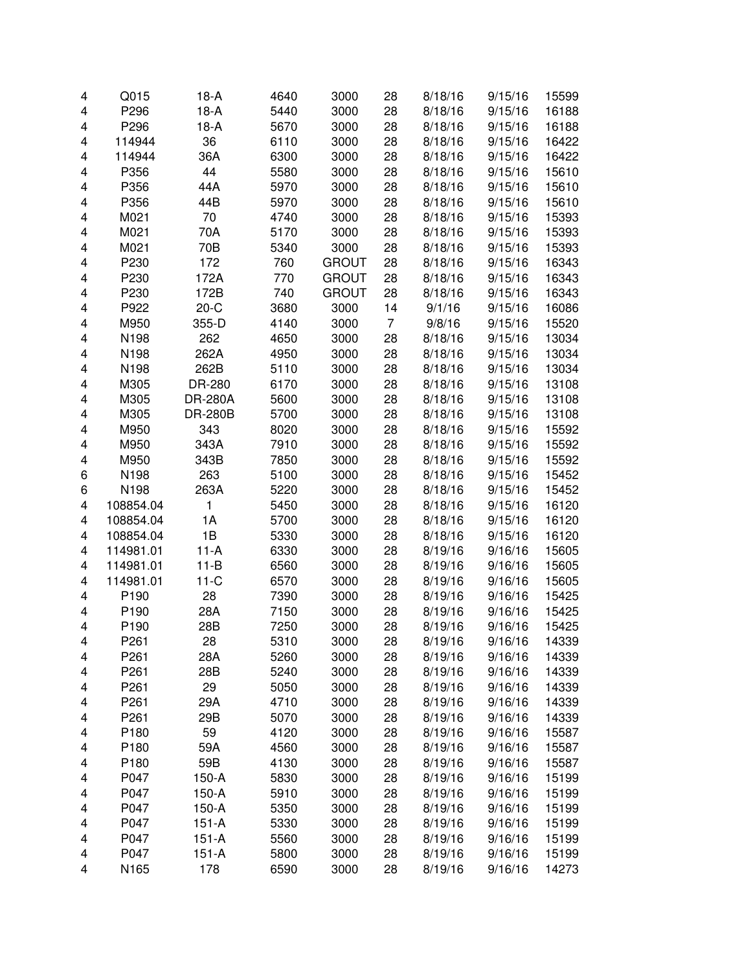| 4 | Q015             | $18-A$         | 4640 | 3000         | 28 | 8/18/16 | 9/15/16 | 15599 |
|---|------------------|----------------|------|--------------|----|---------|---------|-------|
| 4 | P296             | $18-A$         | 5440 | 3000         | 28 | 8/18/16 | 9/15/16 | 16188 |
| 4 | P296             | $18-A$         | 5670 | 3000         | 28 | 8/18/16 | 9/15/16 | 16188 |
| 4 | 114944           | 36             | 6110 | 3000         | 28 | 8/18/16 | 9/15/16 | 16422 |
| 4 | 114944           | 36A            | 6300 | 3000         | 28 | 8/18/16 | 9/15/16 | 16422 |
| 4 | P356             | 44             | 5580 | 3000         | 28 | 8/18/16 | 9/15/16 | 15610 |
| 4 | P356             | 44A            | 5970 | 3000         | 28 | 8/18/16 | 9/15/16 | 15610 |
|   | P356             | 44B            | 5970 |              |    |         |         |       |
| 4 |                  |                |      | 3000         | 28 | 8/18/16 | 9/15/16 | 15610 |
| 4 | M021             | 70             | 4740 | 3000         | 28 | 8/18/16 | 9/15/16 | 15393 |
| 4 | M021             | 70A            | 5170 | 3000         | 28 | 8/18/16 | 9/15/16 | 15393 |
| 4 | M021             | 70B            | 5340 | 3000         | 28 | 8/18/16 | 9/15/16 | 15393 |
| 4 | P230             | 172            | 760  | <b>GROUT</b> | 28 | 8/18/16 | 9/15/16 | 16343 |
| 4 | P230             | 172A           | 770  | <b>GROUT</b> | 28 | 8/18/16 | 9/15/16 | 16343 |
| 4 | P230             | 172B           | 740  | <b>GROUT</b> | 28 | 8/18/16 | 9/15/16 | 16343 |
| 4 | P922             | $20-C$         | 3680 | 3000         | 14 | 9/1/16  | 9/15/16 | 16086 |
| 4 | M950             | 355-D          | 4140 | 3000         | 7  | 9/8/16  | 9/15/16 | 15520 |
| 4 | N198             | 262            | 4650 | 3000         | 28 | 8/18/16 | 9/15/16 | 13034 |
| 4 | N198             | 262A           | 4950 | 3000         | 28 | 8/18/16 | 9/15/16 | 13034 |
| 4 | N198             | 262B           | 5110 | 3000         | 28 | 8/18/16 | 9/15/16 | 13034 |
| 4 | M305             | DR-280         | 6170 | 3000         | 28 | 8/18/16 | 9/15/16 | 13108 |
| 4 | M305             | <b>DR-280A</b> | 5600 | 3000         | 28 | 8/18/16 | 9/15/16 | 13108 |
| 4 | M305             | <b>DR-280B</b> | 5700 | 3000         | 28 | 8/18/16 | 9/15/16 | 13108 |
| 4 | M950             | 343            | 8020 | 3000         | 28 | 8/18/16 | 9/15/16 | 15592 |
| 4 | M950             | 343A           | 7910 | 3000         | 28 | 8/18/16 | 9/15/16 | 15592 |
| 4 | M950             | 343B           | 7850 | 3000         | 28 | 8/18/16 | 9/15/16 | 15592 |
| 6 | N198             | 263            | 5100 | 3000         | 28 | 8/18/16 | 9/15/16 | 15452 |
| 6 | N198             | 263A           | 5220 | 3000         | 28 | 8/18/16 | 9/15/16 | 15452 |
| 4 | 108854.04        | 1              | 5450 | 3000         | 28 | 8/18/16 | 9/15/16 | 16120 |
| 4 | 108854.04        | 1A             | 5700 | 3000         | 28 | 8/18/16 | 9/15/16 | 16120 |
|   |                  | 1B             |      |              |    |         |         |       |
| 4 | 108854.04        |                | 5330 | 3000         | 28 | 8/18/16 | 9/15/16 | 16120 |
| 4 | 114981.01        | $11-A$         | 6330 | 3000         | 28 | 8/19/16 | 9/16/16 | 15605 |
| 4 | 114981.01        | $11 - B$       | 6560 | 3000         | 28 | 8/19/16 | 9/16/16 | 15605 |
| 4 | 114981.01        | $11-C$         | 6570 | 3000         | 28 | 8/19/16 | 9/16/16 | 15605 |
| 4 | P190             | 28             | 7390 | 3000         | 28 | 8/19/16 | 9/16/16 | 15425 |
| 4 | P190             | 28A            | 7150 | 3000         | 28 | 8/19/16 | 9/16/16 | 15425 |
| 4 | P190             | 28B            | 7250 | 3000         | 28 | 8/19/16 | 9/16/16 | 15425 |
| 4 | P <sub>261</sub> | 28             | 5310 | 3000         | 28 | 8/19/16 | 9/16/16 | 14339 |
| 4 | P <sub>261</sub> | 28A            | 5260 | 3000         | 28 | 8/19/16 | 9/16/16 | 14339 |
| 4 | P261             | 28B            | 5240 | 3000         | 28 | 8/19/16 | 9/16/16 | 14339 |
| 4 | P <sub>261</sub> | 29             | 5050 | 3000         | 28 | 8/19/16 | 9/16/16 | 14339 |
| 4 | P261             | 29A            | 4710 | 3000         | 28 | 8/19/16 | 9/16/16 | 14339 |
| 4 | P <sub>261</sub> | 29B            | 5070 | 3000         | 28 | 8/19/16 | 9/16/16 | 14339 |
| 4 | P180             | 59             | 4120 | 3000         | 28 | 8/19/16 | 9/16/16 | 15587 |
| 4 | P180             | 59A            | 4560 | 3000         | 28 | 8/19/16 | 9/16/16 | 15587 |
| 4 | P180             | 59B            | 4130 | 3000         | 28 | 8/19/16 | 9/16/16 | 15587 |
| 4 | P047             | $150-A$        | 5830 | 3000         | 28 | 8/19/16 | 9/16/16 | 15199 |
| 4 | P047             | $150-A$        | 5910 | 3000         | 28 | 8/19/16 | 9/16/16 | 15199 |
| 4 | P047             | $150-A$        | 5350 | 3000         | 28 | 8/19/16 | 9/16/16 | 15199 |
| 4 | P047             | $151-A$        | 5330 | 3000         | 28 | 8/19/16 | 9/16/16 | 15199 |
| 4 | P047             | $151-A$        | 5560 | 3000         | 28 | 8/19/16 | 9/16/16 | 15199 |
| 4 | P047             | $151 - A$      | 5800 | 3000         | 28 | 8/19/16 | 9/16/16 | 15199 |
| 4 | N165             | 178            | 6590 | 3000         | 28 | 8/19/16 | 9/16/16 | 14273 |
|   |                  |                |      |              |    |         |         |       |